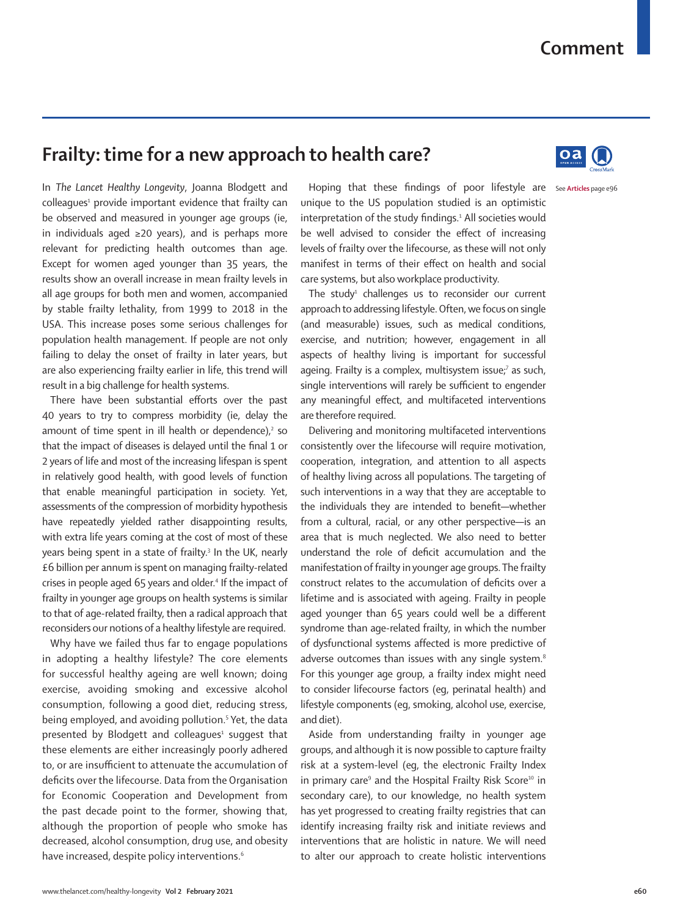## **Comment**

## **Frailty: time for a new approach to health care?**



In *The Lancet Healthy Longevity*, Joanna Blodgett and colleagues<sup>1</sup> provide important evidence that frailty can be observed and measured in younger age groups (ie, in individuals aged ≥20 years), and is perhaps more relevant for predicting health outcomes than age. Except for women aged younger than 35 years, the results show an overall increase in mean frailty levels in all age groups for both men and women, accompanied by stable frailty lethality, from 1999 to 2018 in the USA. This increase poses some serious challenges for population health management. If people are not only failing to delay the onset of frailty in later years, but are also experiencing frailty earlier in life, this trend will result in a big challenge for health systems.

There have been substantial efforts over the past 40 years to try to compress morbidity (ie, delay the amount of time spent in ill health or dependence), $2$  so that the impact of diseases is delayed until the final 1 or 2 years of life and most of the increasing lifespan is spent in relatively good health, with good levels of function that enable meaningful participation in society. Yet, assessments of the compression of morbidity hypothesis have repeatedly yielded rather disappointing results, with extra life years coming at the cost of most of these years being spent in a state of frailty.<sup>3</sup> In the UK, nearly £6 billion per annum is spent on managing frailty-related crises in people aged 65 years and older.<sup>4</sup> If the impact of frailty in younger age groups on health systems is similar to that of age-related frailty, then a radical approach that reconsiders our notions of a healthy lifestyle are required.

Why have we failed thus far to engage populations in adopting a healthy lifestyle? The core elements for successful healthy ageing are well known; doing exercise, avoiding smoking and excessive alcohol consumption, following a good diet, reducing stress, being employed, and avoiding pollution.<sup>5</sup> Yet, the data presented by Blodgett and colleagues<sup>1</sup> suggest that these elements are either increasingly poorly adhered to, or are insufficient to attenuate the accumulation of deficits over the lifecourse. Data from the Organisation for Economic Cooperation and Development from the past decade point to the former, showing that, although the proportion of people who smoke has decreased, alcohol consumption, drug use, and obesity have increased, despite policy interventions.<sup>6</sup>

Hoping that these findings of poor lifestyle are see Articles page e96 unique to the US population studied is an optimistic interpretation of the study findings.<sup>1</sup> All societies would be well advised to consider the effect of increasing levels of frailty over the lifecourse, as these will not only manifest in terms of their effect on health and social care systems, but also workplace productivity.

The study<sup>1</sup> challenges us to reconsider our current approach to addressing lifestyle. Often, we focus on single (and measurable) issues, such as medical conditions, exercise, and nutrition; however, engagement in all aspects of healthy living is important for successful ageing. Frailty is a complex, multisystem issue;<sup>7</sup> as such, single interventions will rarely be sufficient to engender any meaningful effect, and multifaceted interventions are therefore required.

Delivering and monitoring multifaceted interventions consistently over the lifecourse will require motivation, cooperation, integration, and attention to all aspects of healthy living across all populations. The targeting of such interventions in a way that they are acceptable to the individuals they are intended to benefit—whether from a cultural, racial, or any other perspective—is an area that is much neglected. We also need to better understand the role of deficit accumulation and the manifestation of frailty in younger age groups. The frailty construct relates to the accumulation of deficits over a lifetime and is associated with ageing. Frailty in people aged younger than 65 years could well be a different syndrome than age-related frailty, in which the number of dysfunctional systems affected is more predictive of adverse outcomes than issues with any single system.<sup>8</sup> For this younger age group, a frailty index might need to consider lifecourse factors (eg, perinatal health) and lifestyle components (eg, smoking, alcohol use, exercise, and diet).

Aside from understanding frailty in younger age groups, and although it is now possible to capture frailty risk at a system-level (eg, the electronic Frailty Index in primary care<sup>9</sup> and the Hospital Frailty Risk Score<sup>10</sup> in secondary care), to our knowledge, no health system has yet progressed to creating frailty registries that can identify increasing frailty risk and initiate reviews and interventions that are holistic in nature. We will need to alter our approach to create holistic interventions